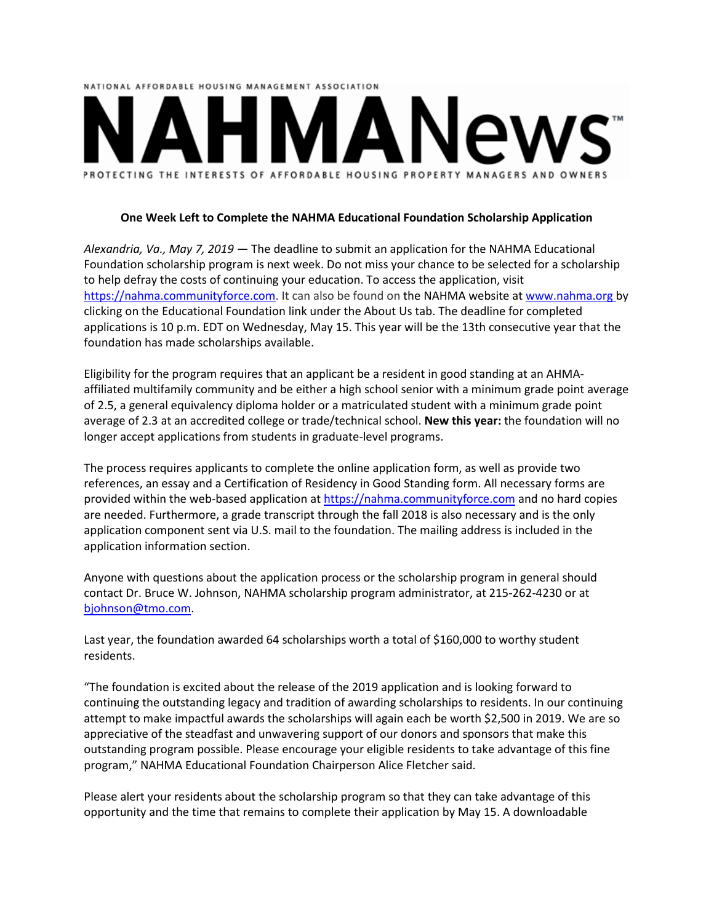## NATIONAL AFFORDABLE HOUSING MANAGEMENT ASSOCIATION PROTECTING THE INTERESTS OF AFFORDABLE HOUSING PROPERTY MANAGERS AND OWNERS

## **One Week Left to Complete the NAHMA Educational Foundation Scholarship Application**

*Alexandria, Va., May 7, 2019 ―* The deadline to submit an application for the NAHMA Educational Foundation scholarship program is next week. Do not miss your chance to be selected for a scholarship to help defray the costs of continuing your education. To access the application, visit https://nahma.communityforce.com. It can also be found on the NAHMA website at [www.nahma.org](http://www.nahma.org/) by clicking on the Educational Foundation link under the About Us tab. The deadline for completed applications is 10 p.m. EDT on Wednesday, May 15. This year will be the 13th consecutive year that the foundation has made scholarships available.

Eligibility for the program requires that an applicant be a resident in good standing at an AHMAaffiliated multifamily community and be either a high school senior with a minimum grade point average of 2.5, a general equivalency diploma holder or a matriculated student with a minimum grade point average of 2.3 at an accredited college or trade/technical school. **New this year:** the foundation will no longer accept applications from students in graduate-level programs.

The process requires applicants to complete the online application form, as well as provide two references, an essay and a Certification of Residency in Good Standing form. All necessary forms are provided within the web-based application a[t https://nahma.communityforce.com](https://nahma.communityforce.com/) and no hard copies are needed. Furthermore, a grade transcript through the fall 2018 is also necessary and is the only application component sent via U.S. mail to the foundation. The mailing address is included in the application information section.

Anyone with questions about the application process or the scholarship program in general should contact Dr. Bruce W. Johnson, NAHMA scholarship program administrator, at 215-262-4230 or at [bjohnson@tmo.com.](mailto:bjohnson@tmo.com)

Last year, the foundation awarded 64 scholarships worth a total of \$160,000 to worthy student residents.

"The foundation is excited about the release of the 2019 application and is looking forward to continuing the outstanding legacy and tradition of awarding scholarships to residents. In our continuing attempt to make impactful awards the scholarships will again each be worth \$2,500 in 2019. We are so appreciative of the steadfast and unwavering support of our donors and sponsors that make this outstanding program possible. Please encourage your eligible residents to take advantage of this fine program," NAHMA Educational Foundation Chairperson Alice Fletcher said.

Please alert your residents about the scholarship program so that they can take advantage of this opportunity and the time that remains to complete their application by May 15. A downloadable